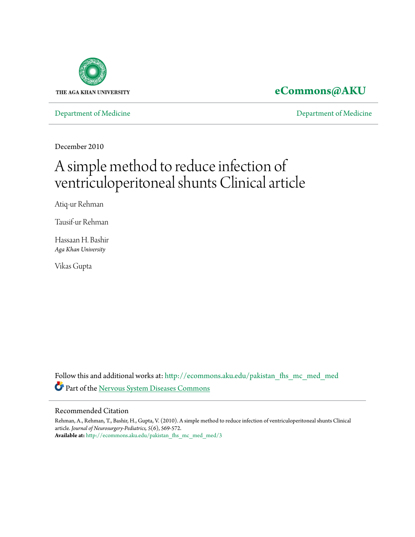

### **[eCommons@AKU](http://ecommons.aku.edu?utm_source=ecommons.aku.edu%2Fpakistan_fhs_mc_med_med%2F3&utm_medium=PDF&utm_campaign=PDFCoverPages)**

[Department of Medicine](http://ecommons.aku.edu/pakistan_fhs_mc_med_med?utm_source=ecommons.aku.edu%2Fpakistan_fhs_mc_med_med%2F3&utm_medium=PDF&utm_campaign=PDFCoverPages) [Department of Medicine](http://ecommons.aku.edu/pakistan_fhs_mc_med?utm_source=ecommons.aku.edu%2Fpakistan_fhs_mc_med_med%2F3&utm_medium=PDF&utm_campaign=PDFCoverPages)

December 2010

# A simple method to reduce infection of ventriculoperitoneal shunts Clinical article

Atiq-ur Rehman

Tausif-ur Rehman

Hassaan H. Bashir *Aga Khan University*

Vikas Gupta

Follow this and additional works at: [http://ecommons.aku.edu/pakistan\\_fhs\\_mc\\_med\\_med](http://ecommons.aku.edu/pakistan_fhs_mc_med_med?utm_source=ecommons.aku.edu%2Fpakistan_fhs_mc_med_med%2F3&utm_medium=PDF&utm_campaign=PDFCoverPages) Part of the [Nervous System Diseases Commons](http://network.bepress.com/hgg/discipline/928?utm_source=ecommons.aku.edu%2Fpakistan_fhs_mc_med_med%2F3&utm_medium=PDF&utm_campaign=PDFCoverPages)

#### Recommended Citation

Rehman, A., Rehman, T., Bashir, H., Gupta, V. (2010). A simple method to reduce infection of ventriculoperitoneal shunts Clinical article. *Journal of Neurosurgery-Pediatrics, 5*(6), 569-572. **Available at:** [http://ecommons.aku.edu/pakistan\\_fhs\\_mc\\_med\\_med/3](http://ecommons.aku.edu/pakistan_fhs_mc_med_med/3)